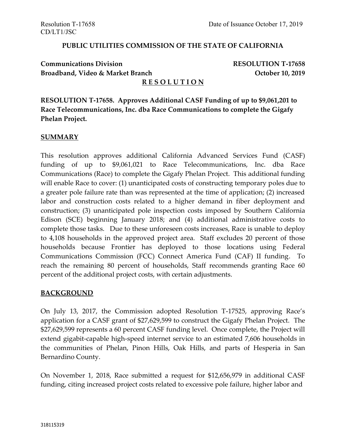#### **PUBLIC UTILITIES COMMISSION OF THE STATE OF CALIFORNIA**

# **Communications Division RESOLUTION T-17658 Broadband, Video & Market Branch Contract Broadband, 2019**

#### **R E S O L U T I O N**

**RESOLUTION T-17658. Approves Additional CASF Funding of up to \$9,061,201 to Race Telecommunications, Inc. dba Race Communications to complete the Gigafy Phelan Project.**

#### **SUMMARY**

This resolution approves additional California Advanced Services Fund (CASF) funding of up to \$9,061,021 to Race Telecommunications, Inc. dba Race Communications (Race) to complete the Gigafy Phelan Project. This additional funding will enable Race to cover: (1) unanticipated costs of constructing temporary poles due to a greater pole failure rate than was represented at the time of application; (2) increased labor and construction costs related to a higher demand in fiber deployment and construction; (3) unanticipated pole inspection costs imposed by Southern California Edison (SCE) beginning January 2018; and (4) additional administrative costs to complete those tasks. Due to these unforeseen costs increases, Race is unable to deploy to 4,108 households in the approved project area. Staff excludes 20 percent of those households because Frontier has deployed to those locations using Federal Communications Commission (FCC) Connect America Fund (CAF) II funding. To reach the remaining 80 percent of households, Staff recommends granting Race 60 percent of the additional project costs, with certain adjustments.

#### **BACKGROUND**

On July 13, 2017, the Commission adopted Resolution T-17525, approving Race's application for a CASF grant of \$27,629,599 to construct the Gigafy Phelan Project. The \$27,629,599 represents a 60 percent CASF funding level. Once complete, the Project will extend gigabit-capable high-speed internet service to an estimated 7,606 households in the communities of Phelan, Pinon Hills, Oak Hills, and parts of Hesperia in San Bernardino County.

On November 1, 2018, Race submitted a request for \$12,656,979 in additional CASF funding, citing increased project costs related to excessive pole failure, higher labor and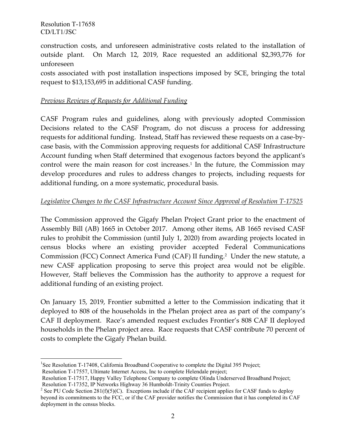$\overline{a}$ 

construction costs, and unforeseen administrative costs related to the installation of outside plant. On March 12, 2019, Race requested an additional \$2,393,776 for unforeseen

costs associated with post installation inspections imposed by SCE, bringing the total request to \$13,153,695 in additional CASF funding.

#### *Previous Reviews of Requests for Additional Funding*

CASF Program rules and guidelines, along with previously adopted Commission Decisions related to the CASF Program, do not discuss a process for addressing requests for additional funding. Instead, Staff has reviewed these requests on a case-bycase basis, with the Commission approving requests for additional CASF Infrastructure Account funding when Staff determined that exogenous factors beyond the applicant's control were the main reason for cost increases. 1 In the future, the Commission may develop procedures and rules to address changes to projects, including requests for additional funding, on a more systematic, procedural basis.

#### *Legislative Changes to the CASF Infrastructure Account Since Approval of Resolution T-17525*

The Commission approved the Gigafy Phelan Project Grant prior to the enactment of Assembly Bill (AB) 1665 in October 2017. Among other items, AB 1665 revised CASF rules to prohibit the Commission (until July 1, 2020) from awarding projects located in census blocks where an existing provider accepted Federal Communications Commission (FCC) Connect America Fund (CAF) II funding. <sup>2</sup> Under the new statute, a new CASF application proposing to serve this project area would not be eligible. However, Staff believes the Commission has the authority to approve a request for additional funding of an existing project.

On January 15, 2019, Frontier submitted a letter to the Commission indicating that it deployed to 808 of the households in the Phelan project area as part of the company's CAF II deployment. Race's amended request excludes Frontier's 808 CAF II deployed households in the Phelan project area. Race requests that CASF contribute 70 percent of costs to complete the Gigafy Phelan build.

<sup>&</sup>lt;sup>1</sup>See Resolution T-17408, California Broadband Cooperative to complete the Digital 395 Project;

Resolution T-17557, Ultimate Internet Access, Inc to complete Helendale project;

Resolution T-17517, Happy Valley Telephone Company to complete Olinda Underserved Broadband Project; Resolution T-17352, IP Networks Highway 36 Humboldt-Trinity Counties Project.

<sup>&</sup>lt;sup>2</sup> See PU Code Section 281(f)(5)(C). Exceptions include if the CAF recipient applies for CASF funds to deploy beyond its commitments to the FCC, or if the CAF provider notifies the Commission that it has completed its CAF deployment in the census blocks.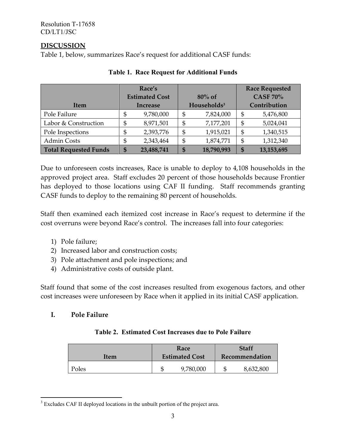# **DISCUSSION**

Table 1, below, summarizes Race's request for additional CASF funds:

|                              | Race's                |            |                         |            |                 | <b>Race Requested</b> |
|------------------------------|-----------------------|------------|-------------------------|------------|-----------------|-----------------------|
|                              | <b>Estimated Cost</b> |            | $80\%$ of               |            | <b>CASF 70%</b> |                       |
| <b>Item</b>                  | <b>Increase</b>       |            | Households <sup>3</sup> |            | Contribution    |                       |
| Pole Failure                 | \$                    | 9,780,000  | \$                      | 7,824,000  | \$              | 5,476,800             |
| Labor & Construction         | \$                    | 8,971,501  | \$                      | 7,177,201  | \$              | 5,024,041             |
| Pole Inspections             | \$                    | 2,393,776  | \$                      | 1,915,021  | \$              | 1,340,515             |
| <b>Admin Costs</b>           | \$                    | 2,343,464  | \$                      | 1,874,771  | \$              | 1,312,340             |
| <b>Total Requested Funds</b> | \$                    | 23,488,741 | S                       | 18,790,993 | \$              | 13,153,695            |

#### **Table 1. Race Request for Additional Funds**

Due to unforeseen costs increases, Race is unable to deploy to 4,108 households in the approved project area. Staff excludes 20 percent of those households because Frontier has deployed to those locations using CAF II funding. Staff recommends granting CASF funds to deploy to the remaining 80 percent of households.

Staff then examined each itemized cost increase in Race's request to determine if the cost overruns were beyond Race's control. The increases fall into four categories:

- 1) Pole failure;
- 2) Increased labor and construction costs;
- 3) Pole attachment and pole inspections; and
- 4) Administrative costs of outside plant.

Staff found that some of the cost increases resulted from exogenous factors, and other cost increases were unforeseen by Race when it applied in its initial CASF application.

# **I. Pole Failure**

 $\overline{a}$ 

#### **Table 2. Estimated Cost Increases due to Pole Failure**

| Item  | Race<br><b>Estimated Cost</b> | Staff<br>Recommendation |           |  |
|-------|-------------------------------|-------------------------|-----------|--|
| Poles | 9,780,000                     |                         | 8,632,800 |  |

<sup>&</sup>lt;sup>3</sup> Excludes CAF II deployed locations in the unbuilt portion of the project area.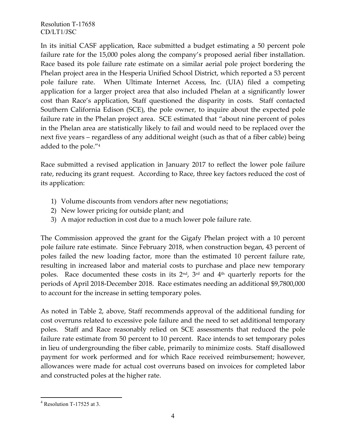In its initial CASF application, Race submitted a budget estimating a 50 percent pole failure rate for the 15,000 poles along the company's proposed aerial fiber installation. Race based its pole failure rate estimate on a similar aerial pole project bordering the Phelan project area in the Hesperia Unified School District, which reported a 53 percent pole failure rate. When Ultimate Internet Access, Inc. (UIA) filed a competing application for a larger project area that also included Phelan at a significantly lower cost than Race's application, Staff questioned the disparity in costs. Staff contacted Southern California Edison (SCE), the pole owner, to inquire about the expected pole failure rate in the Phelan project area. SCE estimated that "about nine percent of poles in the Phelan area are statistically likely to fail and would need to be replaced over the next five years – regardless of any additional weight (such as that of a fiber cable) being added to the pole."<sup>4</sup>

Race submitted a revised application in January 2017 to reflect the lower pole failure rate, reducing its grant request. According to Race, three key factors reduced the cost of its application:

- 1) Volume discounts from vendors after new negotiations;
- 2) New lower pricing for outside plant; and
- 3) A major reduction in cost due to a much lower pole failure rate.

The Commission approved the grant for the Gigafy Phelan project with a 10 percent pole failure rate estimate. Since February 2018, when construction began, 43 percent of poles failed the new loading factor, more than the estimated 10 percent failure rate, resulting in increased labor and material costs to purchase and place new temporary poles. Race documented these costs in its 2<sup>nd</sup>, 3<sup>rd</sup> and 4<sup>th</sup> quarterly reports for the periods of April 2018-December 2018. Race estimates needing an additional \$9,7800,000 to account for the increase in setting temporary poles.

As noted in Table 2, above, Staff recommends approval of the additional funding for cost overruns related to excessive pole failure and the need to set additional temporary poles. Staff and Race reasonably relied on SCE assessments that reduced the pole failure rate estimate from 50 percent to 10 percent. Race intends to set temporary poles in lieu of undergrounding the fiber cable, primarily to minimize costs. Staff disallowed payment for work performed and for which Race received reimbursement; however, allowances were made for actual cost overruns based on invoices for completed labor and constructed poles at the higher rate.

 $\overline{a}$  $4$  Resolution T-17525 at 3.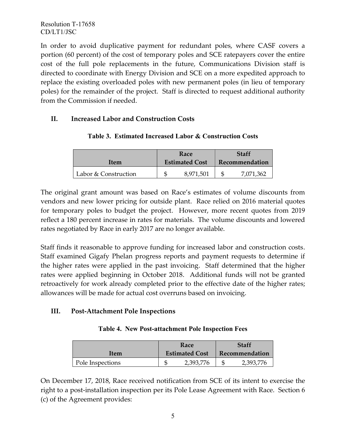In order to avoid duplicative payment for redundant poles, where CASF covers a portion (60 percent) of the cost of temporary poles and SCE ratepayers cover the entire cost of the full pole replacements in the future, Communications Division staff is directed to coordinate with Energy Division and SCE on a more expedited approach to replace the existing overloaded poles with new permanent poles (in lieu of temporary poles) for the remainder of the project. Staff is directed to request additional authority from the Commission if needed.

# **II. Increased Labor and Construction Costs**

|                      | Race                  | Staff          |           |  |
|----------------------|-----------------------|----------------|-----------|--|
| Item                 | <b>Estimated Cost</b> | Recommendation |           |  |
| Labor & Construction | 8,971,501             |                | 7,071,362 |  |

#### **Table 3. Estimated Increased Labor & Construction Costs**

The original grant amount was based on Race's estimates of volume discounts from vendors and new lower pricing for outside plant. Race relied on 2016 material quotes for temporary poles to budget the project. However, more recent quotes from 2019 reflect a 180 percent increase in rates for materials. The volume discounts and lowered rates negotiated by Race in early 2017 are no longer available.

Staff finds it reasonable to approve funding for increased labor and construction costs. Staff examined Gigafy Phelan progress reports and payment requests to determine if the higher rates were applied in the past invoicing. Staff determined that the higher rates were applied beginning in October 2018. Additional funds will not be granted retroactively for work already completed prior to the effective date of the higher rates; allowances will be made for actual cost overruns based on invoicing.

# **III. Post-Attachment Pole Inspections**

| Table 4. New Post-attachment Pole Inspection Fees |
|---------------------------------------------------|
|---------------------------------------------------|

|                  | Race                  | <b>Staff</b>   |           |  |
|------------------|-----------------------|----------------|-----------|--|
| Item             | <b>Estimated Cost</b> | Recommendation |           |  |
| Pole Inspections | 2,393,776             |                | 2,393,776 |  |

On December 17, 2018, Race received notification from SCE of its intent to exercise the right to a post-installation inspection per its Pole Lease Agreement with Race. Section 6 (c) of the Agreement provides: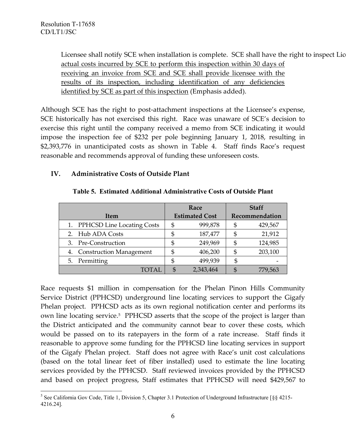Licensee shall notify SCE when installation is complete. SCE shall have the right to inspect Lic actual costs incurred by SCE to perform this inspection within 30 days of receiving an invoice from SCE and SCE shall provide licensee with the results of its inspection, including identification of any deficiencies identified by SCE as part of this inspection (Emphasis added).

Although SCE has the right to post-attachment inspections at the Licensee's expense, SCE historically has not exercised this right. Race was unaware of SCE's decision to exercise this right until the company received a memo from SCE indicating it would impose the inspection fee of \$232 per pole beginning January 1, 2018, resulting in \$2,393,776 in unanticipated costs as shown in Table 4. Staff finds Race's request reasonable and recommends approval of funding these unforeseen costs.

#### **IV. Administrative Costs of Outside Plant**

|                               | Race                  | <b>Staff</b>   |         |  |
|-------------------------------|-----------------------|----------------|---------|--|
| Item                          | <b>Estimated Cost</b> | Recommendation |         |  |
| 1. PPHCSD Line Locating Costs | 999,878               | \$             | 429,567 |  |
| 2. Hub ADA Costs              | 187,477               | S              | 21,912  |  |
| 3. Pre-Construction           | 249,969               | S              | 124,985 |  |
| 4. Construction Management    | 406,200               | S              | 203,100 |  |
| 5. Permitting                 | 499,939               | \$             |         |  |
| <b>TOTAL</b>                  | 2,343,464             |                | 779,563 |  |

#### **Table 5. Estimated Additional Administrative Costs of Outside Plant**

Race requests \$1 million in compensation for the Phelan Pinon Hills Community Service District (PPHCSD) underground line locating services to support the Gigafy Phelan project. PPHCSD acts as its own regional notification center and performs its own line locating service. 5 PPHCSD asserts that the scope of the project is larger than the District anticipated and the community cannot bear to cover these costs, which would be passed on to its ratepayers in the form of a rate increase. Staff finds it reasonable to approve some funding for the PPHCSD line locating services in support of the Gigafy Phelan project. Staff does not agree with Race's unit cost calculations (based on the total linear feet of fiber installed) used to estimate the line locating services provided by the PPHCSD. Staff reviewed invoices provided by the PPHCSD and based on project progress, Staff estimates that PPHCSD will need \$429,567 to

 $\overline{a}$ <sup>5</sup> See California Gov Code, Title 1, Division 5, Chapter 3.1 Protection of Underground Infrastructure [§§ 4215-4216.24].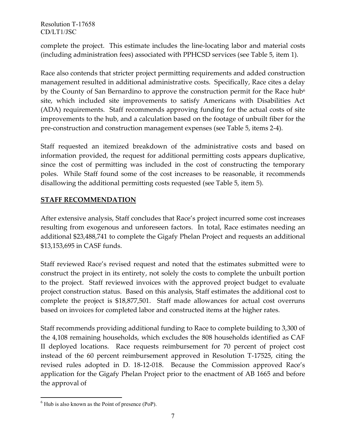complete the project. This estimate includes the line-locating labor and material costs (including administration fees) associated with PPHCSD services (see Table 5, item 1).

Race also contends that stricter project permitting requirements and added construction management resulted in additional administrative costs. Specifically, Race cites a delay by the County of San Bernardino to approve the construction permit for the Race hub<sup>6</sup> site, which included site improvements to satisfy Americans with Disabilities Act (ADA) requirements. Staff recommends approving funding for the actual costs of site improvements to the hub, and a calculation based on the footage of unbuilt fiber for the pre-construction and construction management expenses (see Table 5, items 2-4).

Staff requested an itemized breakdown of the administrative costs and based on information provided, the request for additional permitting costs appears duplicative, since the cost of permitting was included in the cost of constructing the temporary poles. While Staff found some of the cost increases to be reasonable, it recommends disallowing the additional permitting costs requested (see Table 5, item 5).

# **STAFF RECOMMENDATION**

After extensive analysis, Staff concludes that Race's project incurred some cost increases resulting from exogenous and unforeseen factors. In total, Race estimates needing an additional \$23,488,741 to complete the Gigafy Phelan Project and requests an additional \$13,153,695 in CASF funds.

Staff reviewed Race's revised request and noted that the estimates submitted were to construct the project in its entirety, not solely the costs to complete the unbuilt portion to the project. Staff reviewed invoices with the approved project budget to evaluate project construction status. Based on this analysis, Staff estimates the additional cost to complete the project is \$18,877,501. Staff made allowances for actual cost overruns based on invoices for completed labor and constructed items at the higher rates.

Staff recommends providing additional funding to Race to complete building to 3,300 of the 4,108 remaining households, which excludes the 808 households identified as CAF II deployed locations. Race requests reimbursement for 70 percent of project cost instead of the 60 percent reimbursement approved in Resolution T-17525, citing the revised rules adopted in D. 18-12-018. Because the Commission approved Race's application for the Gigafy Phelan Project prior to the enactment of AB 1665 and before the approval of

 $\overline{a}$ 

 $<sup>6</sup>$  Hub is also known as the Point of presence (PoP).</sup>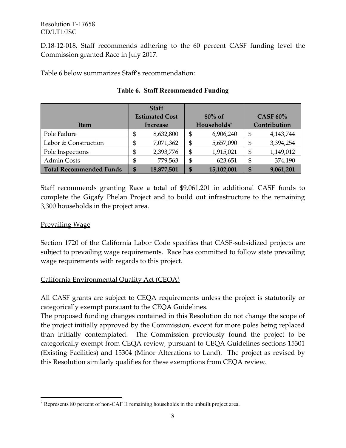D.18-12-018, Staff recommends adhering to the 60 percent CASF funding level the Commission granted Race in July 2017.

Table 6 below summarizes Staff's recommendation:

|                                | <b>Staff</b>          |            |                         |            |                 |           |
|--------------------------------|-----------------------|------------|-------------------------|------------|-----------------|-----------|
|                                | <b>Estimated Cost</b> |            | $80\%$ of               |            | <b>CASF 60%</b> |           |
| <b>Item</b>                    | <b>Increase</b>       |            | Households <sup>7</sup> |            | Contribution    |           |
| Pole Failure                   | \$                    | 8,632,800  | \$                      | 6,906,240  | \$              | 4,143,744 |
| Labor & Construction           | \$                    | 7,071,362  | \$                      | 5,657,090  | \$              | 3,394,254 |
| Pole Inspections               | \$                    | 2,393,776  | \$                      | 1,915,021  | \$              | 1,149,012 |
| <b>Admin Costs</b>             | \$                    | 779,563    | \$                      | 623,651    | \$              | 374,190   |
| <b>Total Recommended Funds</b> | \$                    | 18,877,501 | \$                      | 15,102,001 | \$              | 9,061,201 |

# **Table 6. Staff Recommended Funding**

Staff recommends granting Race a total of \$9,061,201 in additional CASF funds to complete the Gigafy Phelan Project and to build out infrastructure to the remaining 3,300 households in the project area.

# Prevailing Wage

Section 1720 of the California Labor Code specifies that CASF-subsidized projects are subject to prevailing wage requirements. Race has committed to follow state prevailing wage requirements with regards to this project.

# California Environmental Quality Act (CEQA)

All CASF grants are subject to CEQA requirements unless the project is statutorily or categorically exempt pursuant to the CEQA Guidelines.

The proposed funding changes contained in this Resolution do not change the scope of the project initially approved by the Commission, except for more poles being replaced than initially contemplated. The Commission previously found the project to be categorically exempt from CEQA review, pursuant to CEQA Guidelines sections 15301 (Existing Facilities) and 15304 (Minor Alterations to Land). The project as revised by this Resolution similarly qualifies for these exemptions from CEQA review.

 $\overline{a}$  $7$  Represents 80 percent of non-CAF II remaining households in the unbuilt project area.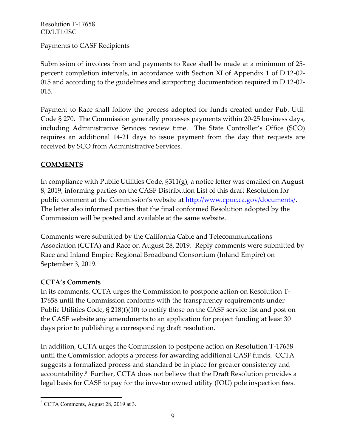# Payments to CASF Recipients

Submission of invoices from and payments to Race shall be made at a minimum of 25 percent completion intervals, in accordance with Section XI of Appendix 1 of D.12-02- 015 and according to the guidelines and supporting documentation required in D.12-02- 015.

Payment to Race shall follow the process adopted for funds created under Pub. Util. Code § 270. The Commission generally processes payments within 20-25 business days, including Administrative Services review time. The State Controller's Office (SCO) requires an additional 14-21 days to issue payment from the day that requests are received by SCO from Administrative Services.

# **COMMENTS**

In compliance with Public Utilities Code, §311(g), a notice letter was emailed on August 8, 2019, informing parties on the CASF Distribution List of this draft Resolution for public comment at the Commission's website at [http://www.cpuc.ca.gov/documents/.](http://www.cpuc.ca.gov/documents/)  The letter also informed parties that the final conformed Resolution adopted by the Commission will be posted and available at the same website.

Comments were submitted by the California Cable and Telecommunications Association (CCTA) and Race on August 28, 2019. Reply comments were submitted by Race and Inland Empire Regional Broadband Consortium (Inland Empire) on September 3, 2019.

# **CCTA's Comments**

In its comments, CCTA urges the Commission to postpone action on Resolution T-17658 until the Commission conforms with the transparency requirements under Public Utilities Code, § 218(f)(10) to notify those on the CASF service list and post on the CASF website any amendments to an application for project funding at least 30 days prior to publishing a corresponding draft resolution.

In addition, CCTA urges the Commission to postpone action on Resolution T-17658 until the Commission adopts a process for awarding additional CASF funds. CCTA suggests a formalized process and standard be in place for greater consistency and accountability.<sup>8</sup> Further, CCTA does not believe that the Draft Resolution provides a legal basis for CASF to pay for the investor owned utility (IOU) pole inspection fees.

 $\overline{a}$ <sup>8</sup> CCTA Comments, August 28, 2019 at 3.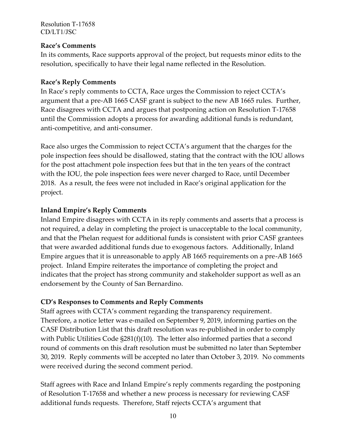#### **Race's Comments**

In its comments, Race supports approval of the project, but requests minor edits to the resolution, specifically to have their legal name reflected in the Resolution.

# **Race's Reply Comments**

In Race's reply comments to CCTA, Race urges the Commission to reject CCTA's argument that a pre-AB 1665 CASF grant is subject to the new AB 1665 rules. Further, Race disagrees with CCTA and argues that postponing action on Resolution T-17658 until the Commission adopts a process for awarding additional funds is redundant, anti-competitive, and anti-consumer.

Race also urges the Commission to reject CCTA's argument that the charges for the pole inspection fees should be disallowed, stating that the contract with the IOU allows for the post attachment pole inspection fees but that in the ten years of the contract with the IOU, the pole inspection fees were never charged to Race, until December 2018. As a result, the fees were not included in Race's original application for the project.

# **Inland Empire's Reply Comments**

Inland Empire disagrees with CCTA in its reply comments and asserts that a process is not required, a delay in completing the project is unacceptable to the local community, and that the Phelan request for additional funds is consistent with prior CASF grantees that were awarded additional funds due to exogenous factors. Additionally, Inland Empire argues that it is unreasonable to apply AB 1665 requirements on a pre-AB 1665 project. Inland Empire reiterates the importance of completing the project and indicates that the project has strong community and stakeholder support as well as an endorsement by the County of San Bernardino.

# **CD's Responses to Comments and Reply Comments**

Staff agrees with CCTA's comment regarding the transparency requirement. Therefore, a notice letter was e-mailed on September 9, 2019, informing parties on the CASF Distribution List that this draft resolution was re-published in order to comply with Public Utilities Code §281(f)(10). The letter also informed parties that a second round of comments on this draft resolution must be submitted no later than September 30, 2019. Reply comments will be accepted no later than October 3, 2019. No comments were received during the second comment period.

Staff agrees with Race and Inland Empire's reply comments regarding the postponing of Resolution T-17658 and whether a new process is necessary for reviewing CASF additional funds requests. Therefore, Staff rejects CCTA's argument that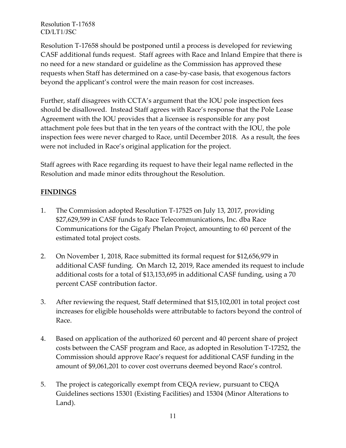Resolution T-17658 should be postponed until a process is developed for reviewing CASF additional funds request. Staff agrees with Race and Inland Empire that there is no need for a new standard or guideline as the Commission has approved these requests when Staff has determined on a case-by-case basis, that exogenous factors beyond the applicant's control were the main reason for cost increases.

Further, staff disagrees with CCTA's argument that the IOU pole inspection fees should be disallowed. Instead Staff agrees with Race's response that the Pole Lease Agreement with the IOU provides that a licensee is responsible for any post attachment pole fees but that in the ten years of the contract with the IOU, the pole inspection fees were never charged to Race, until December 2018. As a result, the fees were not included in Race's original application for the project.

Staff agrees with Race regarding its request to have their legal name reflected in the Resolution and made minor edits throughout the Resolution.

# **FINDINGS**

- 1. The Commission adopted Resolution T-17525 on July 13, 2017, providing \$27,629,599 in CASF funds to Race Telecommunications, Inc. dba Race Communications for the Gigafy Phelan Project, amounting to 60 percent of the estimated total project costs.
- 2. On November 1, 2018, Race submitted its formal request for \$12,656,979 in additional CASF funding. On March 12, 2019, Race amended its request to include additional costs for a total of \$13,153,695 in additional CASF funding, using a 70 percent CASF contribution factor.
- 3. After reviewing the request, Staff determined that \$15,102,001 in total project cost increases for eligible households were attributable to factors beyond the control of Race.
- 4. Based on application of the authorized 60 percent and 40 percent share of project costs between the CASF program and Race, as adopted in Resolution T-17252, the Commission should approve Race's request for additional CASF funding in the amount of \$9,061,201 to cover cost overruns deemed beyond Race's control.
- 5. The project is categorically exempt from CEQA review, pursuant to CEQA Guidelines sections 15301 (Existing Facilities) and 15304 (Minor Alterations to Land).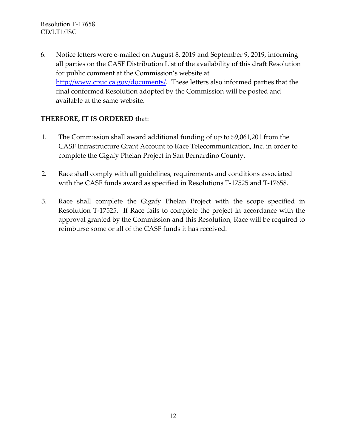6. Notice letters were e-mailed on August 8, 2019 and September 9, 2019, informing all parties on the CASF Distribution List of the availability of this draft Resolution for public comment at the Commission's website at [http://www.cpuc.ca.gov/documents/.](http://www.cpuc.ca.gov/documents/) These letters also informed parties that the final conformed Resolution adopted by the Commission will be posted and available at the same website.

# **THERFORE, IT IS ORDERED** that:

- 1. The Commission shall award additional funding of up to \$9,061,201 from the CASF Infrastructure Grant Account to Race Telecommunication, Inc. in order to complete the Gigafy Phelan Project in San Bernardino County.
- 2. Race shall comply with all guidelines, requirements and conditions associated with the CASF funds award as specified in Resolutions T-17525 and T-17658.
- 3. Race shall complete the Gigafy Phelan Project with the scope specified in Resolution T-17525. If Race fails to complete the project in accordance with the approval granted by the Commission and this Resolution, Race will be required to reimburse some or all of the CASF funds it has received.